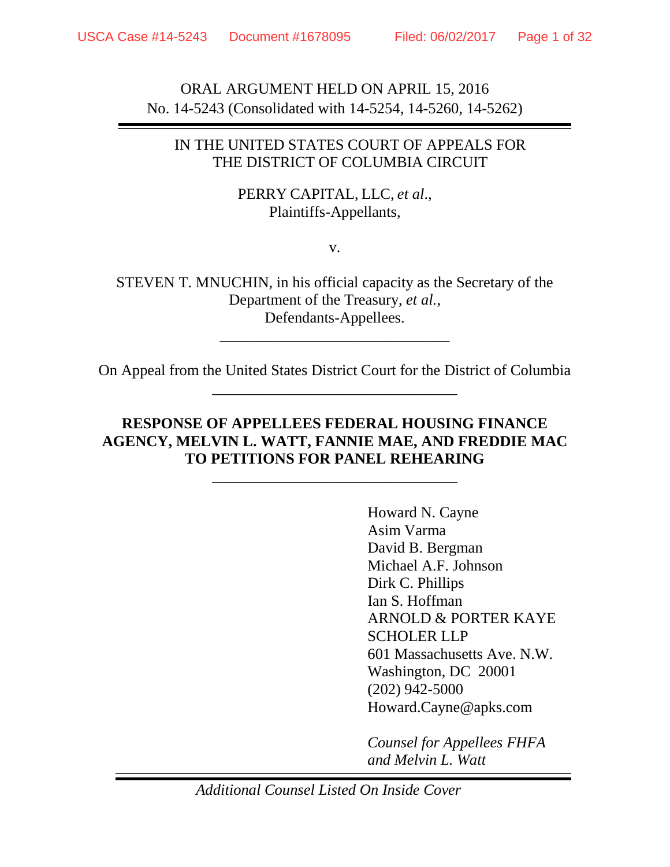ORAL ARGUMENT HELD ON APRIL 15, 2016 No. 14-5243 (Consolidated with 14-5254, 14-5260, 14-5262)

### IN THE UNITED STATES COURT OF APPEALS FOR THE DISTRICT OF COLUMBIA CIRCUIT

### PERRY CAPITAL, LLC, *et al*., Plaintiffs-Appellants,

v.

STEVEN T. MNUCHIN, in his official capacity as the Secretary of the Department of the Treasury, *et al.*, Defendants-Appellees.

\_\_\_\_\_\_\_\_\_\_\_\_\_\_\_\_\_\_\_\_\_\_\_\_\_\_\_\_\_\_

On Appeal from the United States District Court for the District of Columbia \_\_\_\_\_\_\_\_\_\_\_\_\_\_\_\_\_\_\_\_\_\_\_\_\_\_\_\_\_\_\_\_

# **RESPONSE OF APPELLEES FEDERAL HOUSING FINANCE AGENCY, MELVIN L. WATT, FANNIE MAE, AND FREDDIE MAC TO PETITIONS FOR PANEL REHEARING**

\_\_\_\_\_\_\_\_\_\_\_\_\_\_\_\_\_\_\_\_\_\_\_\_\_\_\_\_\_\_\_\_

Howard N. Cayne Asim Varma David B. Bergman Michael A.F. Johnson Dirk C. Phillips Ian S. Hoffman ARNOLD & PORTER KAYE SCHOLER LLP 601 Massachusetts Ave. N.W. Washington, DC 20001 (202) 942-5000 Howard.Cayne@apks.com

*Counsel for Appellees FHFA and Melvin L. Watt*

*Additional Counsel Listed On Inside Cover*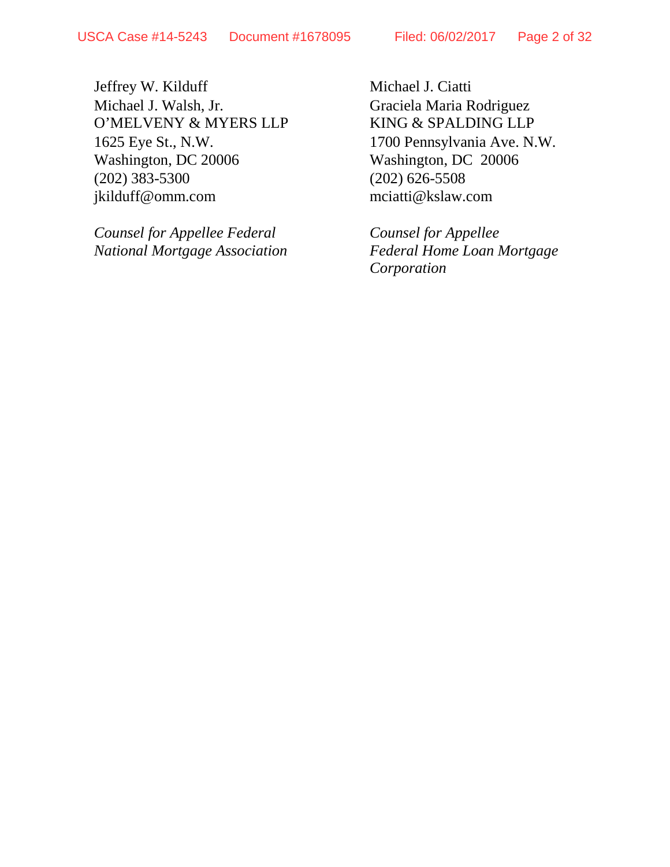Jeffrey W. Kilduff Michael J. Ciatti Michael J. Walsh, Jr. Graciela Maria Rodriguez O'MELVENY & MYERS LLP KING & SPALDING LLP 1625 Eye St., N.W. 1700 Pennsylvania Ave. N.W. Washington, DC 20006 Washington, DC 20006 (202) 383-5300 (202) 626-5508<br>
ikilduff@omm.com mciatti@kslaw.com jkilduff@omm.com

*Counsel for Appellee Federal Counsel for Appellee National Mortgage Association Federal Home Loan Mortgage*

*Corporation*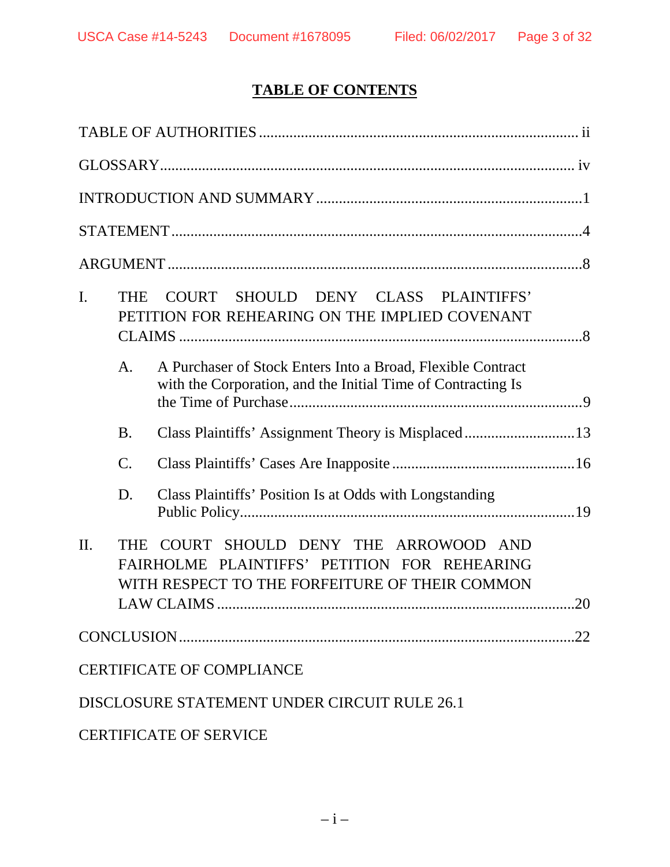# **TABLE OF CONTENTS**

| I.      | <b>THE</b>      | COURT SHOULD DENY CLASS PLAINTIFFS'<br>PETITION FOR REHEARING ON THE IMPLIED COVENANT                                                       |
|---------|-----------------|---------------------------------------------------------------------------------------------------------------------------------------------|
|         | A.              | A Purchaser of Stock Enters Into a Broad, Flexible Contract<br>with the Corporation, and the Initial Time of Contracting Is                 |
|         | <b>B.</b>       |                                                                                                                                             |
|         | $\mathcal{C}$ . |                                                                                                                                             |
|         | D.              | Class Plaintiffs' Position Is at Odds with Longstanding                                                                                     |
| $\Pi$ . | <b>THE</b>      | COURT SHOULD DENY THE ARROWOOD AND<br>FAIRHOLME PLAINTIFFS' PETITION FOR REHEARING<br>WITH RESPECT TO THE FORFEITURE OF THEIR COMMON<br>.20 |
|         |                 | 22                                                                                                                                          |
|         |                 | <b>CERTIFICATE OF COMPLIANCE</b>                                                                                                            |
|         |                 | DISCLOSURE STATEMENT UNDER CIRCUIT RULE 26.1                                                                                                |
|         |                 | <b>CERTIFICATE OF SERVICE</b>                                                                                                               |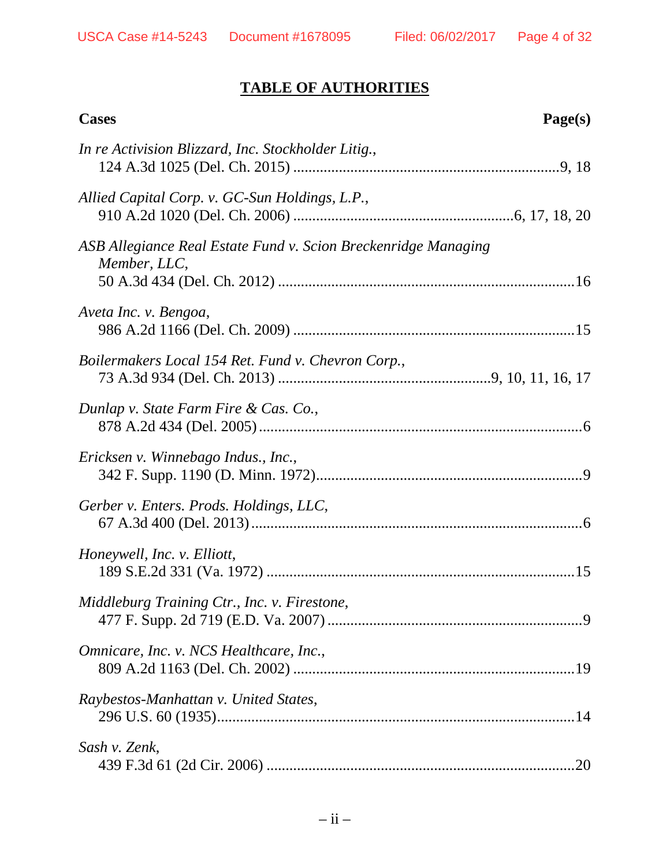# **TABLE OF AUTHORITIES**

| <b>Cases</b>                                                                   | Page(s) |
|--------------------------------------------------------------------------------|---------|
| In re Activision Blizzard, Inc. Stockholder Litig.,                            |         |
| Allied Capital Corp. v. GC-Sun Holdings, L.P.,                                 |         |
| ASB Allegiance Real Estate Fund v. Scion Breckenridge Managing<br>Member, LLC, |         |
| Aveta Inc. v. Bengoa,                                                          |         |
| Boilermakers Local 154 Ret. Fund v. Chevron Corp.,                             |         |
| Dunlap v. State Farm Fire & Cas. Co.,                                          |         |
| Ericksen v. Winnebago Indus., Inc.,                                            |         |
| Gerber v. Enters. Prods. Holdings, LLC,                                        |         |
| Honeywell, Inc. v. Elliott,                                                    |         |
| Middleburg Training Ctr., Inc. v. Firestone,                                   |         |
| Omnicare, Inc. v. NCS Healthcare, Inc.,                                        |         |
| Raybestos-Manhattan v. United States,                                          |         |
| Sash v. Zenk,                                                                  |         |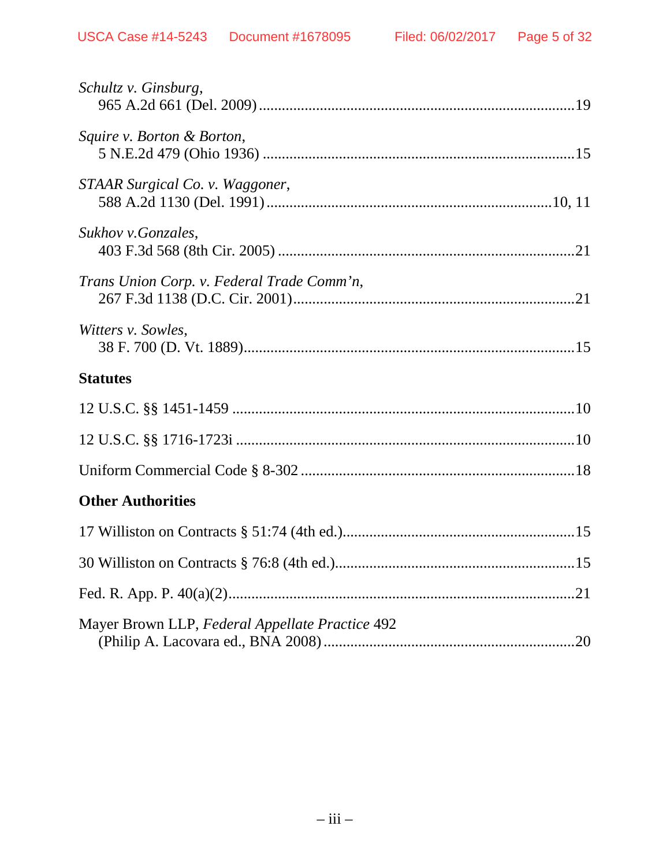| Schultz v. Ginsburg,                            |
|-------------------------------------------------|
| Squire v. Borton & Borton,                      |
| STAAR Surgical Co. v. Waggoner,                 |
| Sukhov v. Gonzales,                             |
| Trans Union Corp. v. Federal Trade Comm'n,      |
| Witters v. Sowles,                              |
| <b>Statutes</b>                                 |
|                                                 |
|                                                 |
|                                                 |
| <b>Other Authorities</b>                        |
|                                                 |
|                                                 |
|                                                 |
| Mayer Brown LLP, Federal Appellate Practice 492 |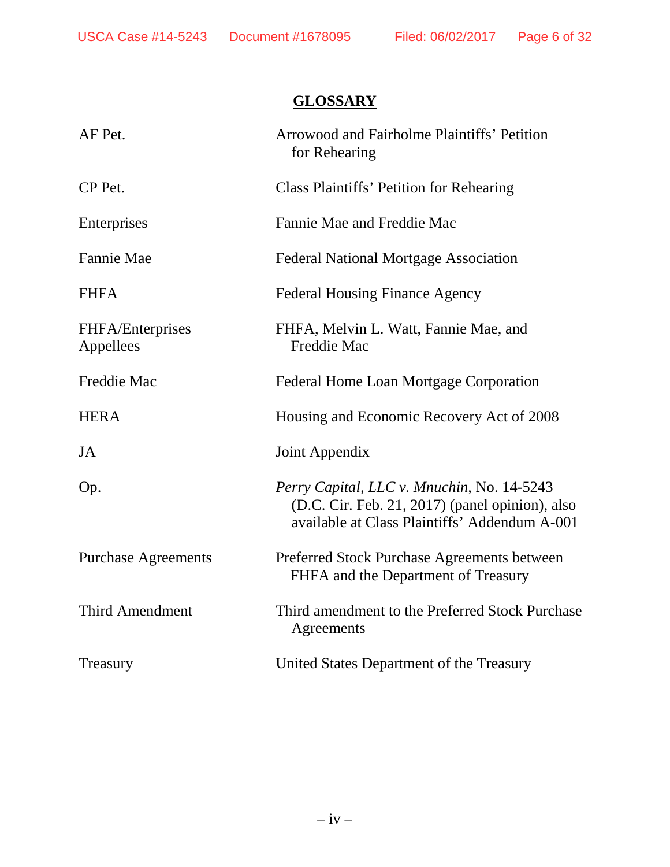# **GLOSSARY**

| AF Pet.                              | <b>Arrowood and Fairholme Plaintiffs' Petition</b><br>for Rehearing                                                                            |
|--------------------------------------|------------------------------------------------------------------------------------------------------------------------------------------------|
| CP Pet.                              | Class Plaintiffs' Petition for Rehearing                                                                                                       |
| Enterprises                          | Fannie Mae and Freddie Mac                                                                                                                     |
| <b>Fannie Mae</b>                    | <b>Federal National Mortgage Association</b>                                                                                                   |
| <b>FHFA</b>                          | <b>Federal Housing Finance Agency</b>                                                                                                          |
| <b>FHFA/Enterprises</b><br>Appellees | FHFA, Melvin L. Watt, Fannie Mae, and<br><b>Freddie Mac</b>                                                                                    |
| Freddie Mac                          | Federal Home Loan Mortgage Corporation                                                                                                         |
| <b>HERA</b>                          | Housing and Economic Recovery Act of 2008                                                                                                      |
| JA                                   | Joint Appendix                                                                                                                                 |
| Op.                                  | Perry Capital, LLC v. Mnuchin, No. 14-5243<br>(D.C. Cir. Feb. 21, 2017) (panel opinion), also<br>available at Class Plaintiffs' Addendum A-001 |
| <b>Purchase Agreements</b>           |                                                                                                                                                |
|                                      | Preferred Stock Purchase Agreements between<br>FHFA and the Department of Treasury                                                             |
| <b>Third Amendment</b>               | Third amendment to the Preferred Stock Purchase<br>Agreements                                                                                  |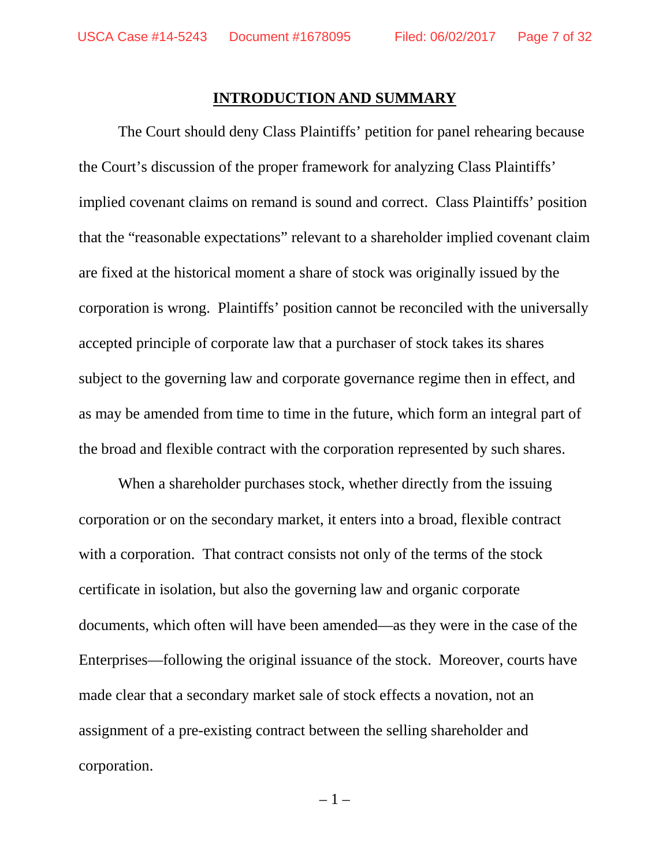#### **INTRODUCTION AND SUMMARY**

The Court should deny Class Plaintiffs' petition for panel rehearing because the Court's discussion of the proper framework for analyzing Class Plaintiffs' implied covenant claims on remand is sound and correct. Class Plaintiffs' position that the "reasonable expectations" relevant to a shareholder implied covenant claim are fixed at the historical moment a share of stock was originally issued by the corporation is wrong. Plaintiffs' position cannot be reconciled with the universally accepted principle of corporate law that a purchaser of stock takes its shares subject to the governing law and corporate governance regime then in effect, and as may be amended from time to time in the future, which form an integral part of the broad and flexible contract with the corporation represented by such shares.

When a shareholder purchases stock, whether directly from the issuing corporation or on the secondary market, it enters into a broad, flexible contract with a corporation. That contract consists not only of the terms of the stock certificate in isolation, but also the governing law and organic corporate documents, which often will have been amended—as they were in the case of the Enterprises—following the original issuance of the stock. Moreover, courts have made clear that a secondary market sale of stock effects a novation, not an assignment of a pre-existing contract between the selling shareholder and corporation.

– 1 –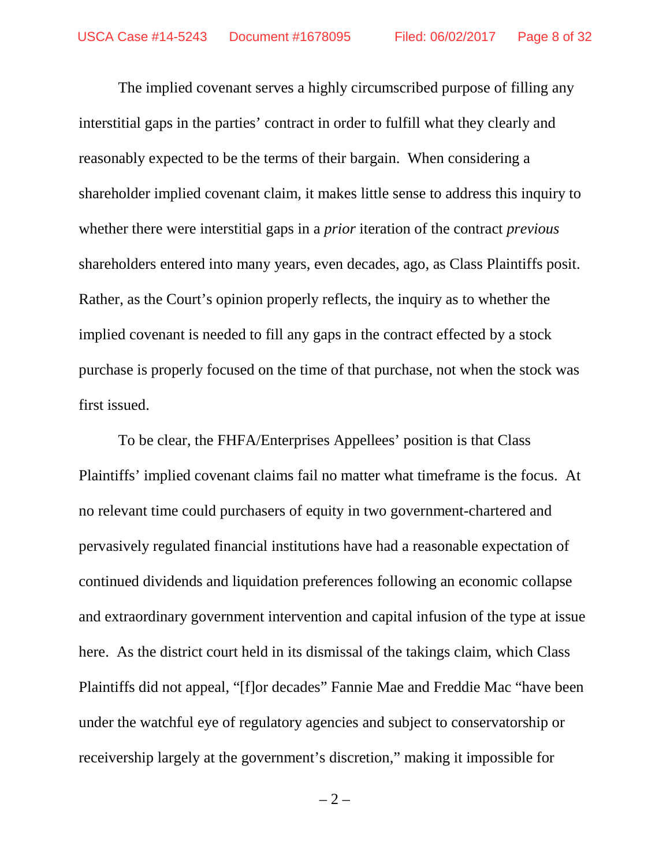The implied covenant serves a highly circumscribed purpose of filling any interstitial gaps in the parties' contract in order to fulfill what they clearly and reasonably expected to be the terms of their bargain. When considering a shareholder implied covenant claim, it makes little sense to address this inquiry to whether there were interstitial gaps in a *prior* iteration of the contract *previous* shareholders entered into many years, even decades, ago, as Class Plaintiffs posit. Rather, as the Court's opinion properly reflects, the inquiry as to whether the implied covenant is needed to fill any gaps in the contract effected by a stock purchase is properly focused on the time of that purchase, not when the stock was first issued.

To be clear, the FHFA/Enterprises Appellees' position is that Class Plaintiffs' implied covenant claims fail no matter what timeframe is the focus. At no relevant time could purchasers of equity in two government-chartered and pervasively regulated financial institutions have had a reasonable expectation of continued dividends and liquidation preferences following an economic collapse and extraordinary government intervention and capital infusion of the type at issue here. As the district court held in its dismissal of the takings claim, which Class Plaintiffs did not appeal, "[f]or decades" Fannie Mae and Freddie Mac "have been under the watchful eye of regulatory agencies and subject to conservatorship or receivership largely at the government's discretion," making it impossible for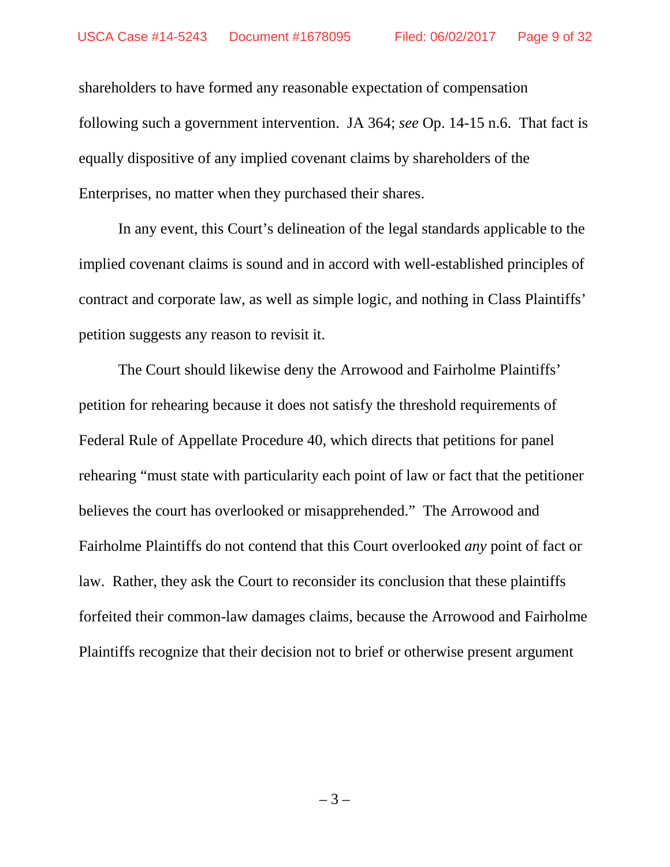shareholders to have formed any reasonable expectation of compensation following such a government intervention. JA 364; *see* Op. 14-15 n.6. That fact is equally dispositive of any implied covenant claims by shareholders of the Enterprises, no matter when they purchased their shares.

In any event, this Court's delineation of the legal standards applicable to the implied covenant claims is sound and in accord with well-established principles of contract and corporate law, as well as simple logic, and nothing in Class Plaintiffs' petition suggests any reason to revisit it.

The Court should likewise deny the Arrowood and Fairholme Plaintiffs' petition for rehearing because it does not satisfy the threshold requirements of Federal Rule of Appellate Procedure 40, which directs that petitions for panel rehearing "must state with particularity each point of law or fact that the petitioner believes the court has overlooked or misapprehended." The Arrowood and Fairholme Plaintiffs do not contend that this Court overlooked *any* point of fact or law. Rather, they ask the Court to reconsider its conclusion that these plaintiffs forfeited their common-law damages claims, because the Arrowood and Fairholme Plaintiffs recognize that their decision not to brief or otherwise present argument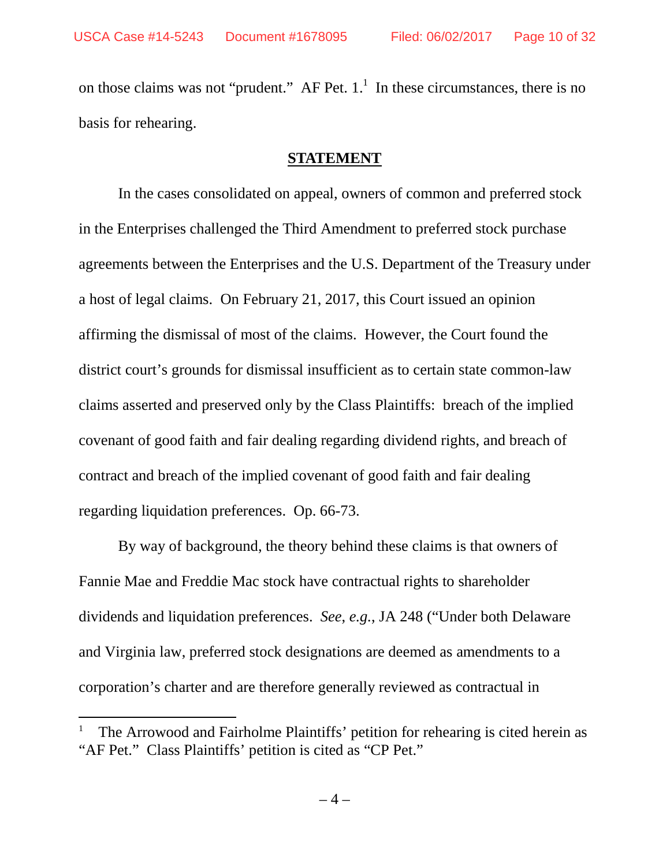on those claims was not "prudent." AF Pet.  $1<sup>1</sup>$  In these circumstances, there is no basis for rehearing.

### **STATEMENT**

In the cases consolidated on appeal, owners of common and preferred stock in the Enterprises challenged the Third Amendment to preferred stock purchase agreements between the Enterprises and the U.S. Department of the Treasury under a host of legal claims. On February 21, 2017, this Court issued an opinion affirming the dismissal of most of the claims. However, the Court found the district court's grounds for dismissal insufficient as to certain state common-law claims asserted and preserved only by the Class Plaintiffs: breach of the implied covenant of good faith and fair dealing regarding dividend rights, and breach of contract and breach of the implied covenant of good faith and fair dealing regarding liquidation preferences. Op. 66-73.

By way of background, the theory behind these claims is that owners of Fannie Mae and Freddie Mac stock have contractual rights to shareholder dividends and liquidation preferences. *See*, *e.g.*, JA 248 ("Under both Delaware and Virginia law, preferred stock designations are deemed as amendments to a corporation's charter and are therefore generally reviewed as contractual in

<sup>1</sup> The Arrowood and Fairholme Plaintiffs' petition for rehearing is cited herein as "AF Pet." Class Plaintiffs' petition is cited as "CP Pet."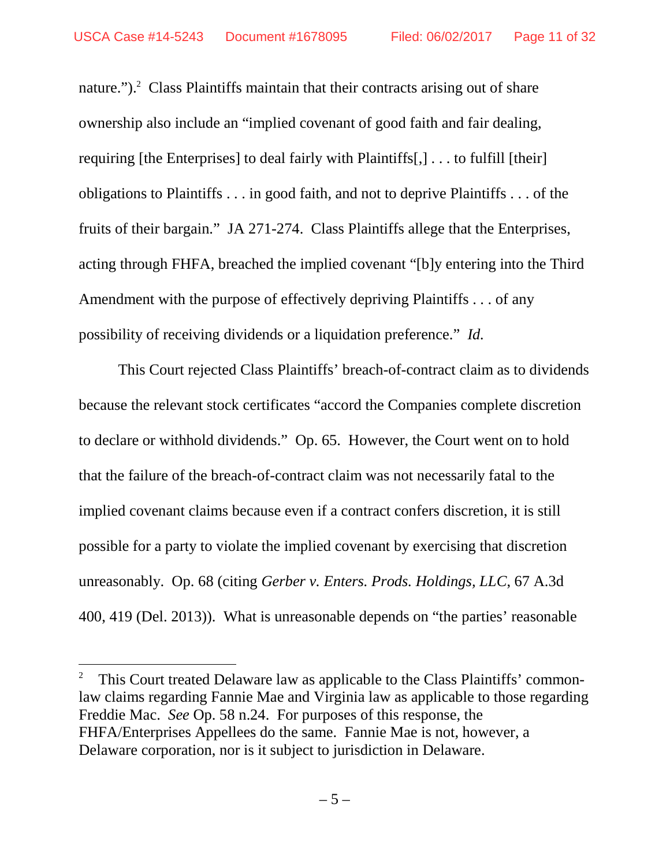nature.").<sup>2</sup> Class Plaintiffs maintain that their contracts arising out of share ownership also include an "implied covenant of good faith and fair dealing, requiring [the Enterprises] to deal fairly with Plaintiffs[,] . . . to fulfill [their] obligations to Plaintiffs . . . in good faith, and not to deprive Plaintiffs . . . of the fruits of their bargain." JA 271-274. Class Plaintiffs allege that the Enterprises, acting through FHFA, breached the implied covenant "[b]y entering into the Third Amendment with the purpose of effectively depriving Plaintiffs . . . of any possibility of receiving dividends or a liquidation preference." *Id.*

This Court rejected Class Plaintiffs' breach-of-contract claim as to dividends because the relevant stock certificates "accord the Companies complete discretion to declare or withhold dividends." Op. 65. However, the Court went on to hold that the failure of the breach-of-contract claim was not necessarily fatal to the implied covenant claims because even if a contract confers discretion, it is still possible for a party to violate the implied covenant by exercising that discretion unreasonably. Op. 68 (citing *Gerber v. Enters. Prods. Holdings, LLC*, 67 A.3d 400, 419 (Del. 2013)). What is unreasonable depends on "the parties' reasonable

<sup>2</sup> This Court treated Delaware law as applicable to the Class Plaintiffs' commonlaw claims regarding Fannie Mae and Virginia law as applicable to those regarding Freddie Mac. *See* Op. 58 n.24. For purposes of this response, the FHFA/Enterprises Appellees do the same. Fannie Mae is not, however, a Delaware corporation, nor is it subject to jurisdiction in Delaware.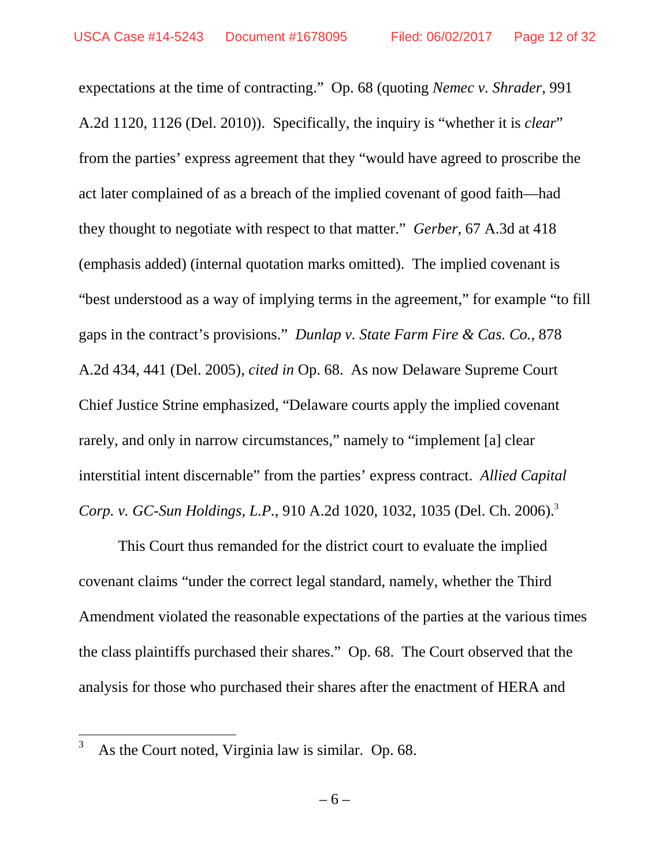expectations at the time of contracting." Op. 68 (quoting *Nemec v. Shrader*, 991 A.2d 1120, 1126 (Del. 2010)). Specifically, the inquiry is "whether it is *clear*" from the parties' express agreement that they "would have agreed to proscribe the act later complained of as a breach of the implied covenant of good faith—had they thought to negotiate with respect to that matter." *Gerber*, 67 A.3d at 418 (emphasis added) (internal quotation marks omitted). The implied covenant is "best understood as a way of implying terms in the agreement," for example "to fill gaps in the contract's provisions." *Dunlap v. State Farm Fire & Cas. Co.*, 878 A.2d 434, 441 (Del. 2005), *cited in* Op. 68. As now Delaware Supreme Court Chief Justice Strine emphasized, "Delaware courts apply the implied covenant rarely, and only in narrow circumstances," namely to "implement [a] clear interstitial intent discernable" from the parties' express contract. *Allied Capital Corp. v. GC-Sun Holdings, L.P.*, 910 A.2d 1020, 1032, 1035 (Del. Ch. 2006).<sup>3</sup>

This Court thus remanded for the district court to evaluate the implied covenant claims "under the correct legal standard, namely, whether the Third Amendment violated the reasonable expectations of the parties at the various times the class plaintiffs purchased their shares." Op. 68. The Court observed that the analysis for those who purchased their shares after the enactment of HERA and

 $3$  As the Court noted, Virginia law is similar. Op. 68.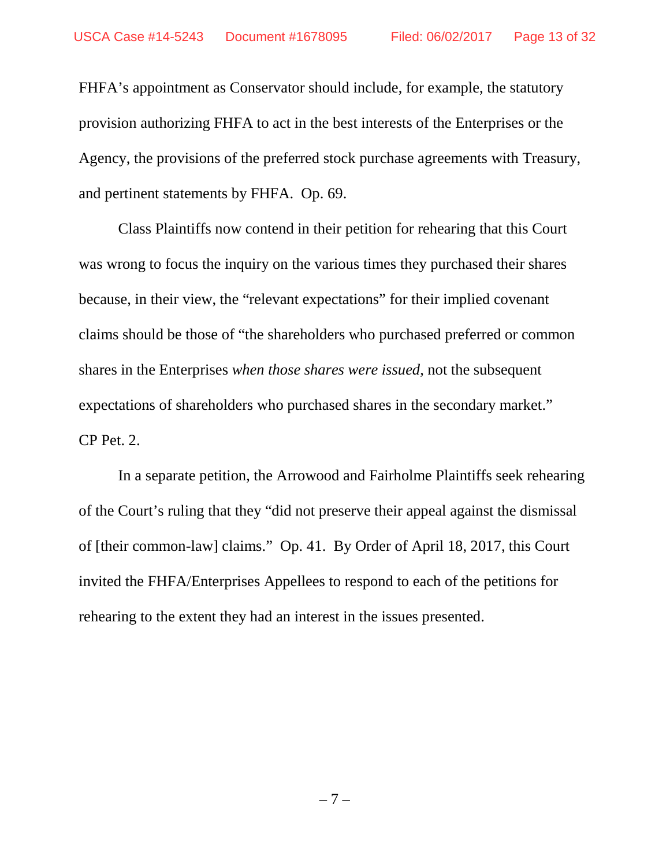FHFA's appointment as Conservator should include, for example, the statutory provision authorizing FHFA to act in the best interests of the Enterprises or the Agency, the provisions of the preferred stock purchase agreements with Treasury, and pertinent statements by FHFA. Op. 69.

Class Plaintiffs now contend in their petition for rehearing that this Court was wrong to focus the inquiry on the various times they purchased their shares because, in their view, the "relevant expectations" for their implied covenant claims should be those of "the shareholders who purchased preferred or common shares in the Enterprises *when those shares were issued*, not the subsequent expectations of shareholders who purchased shares in the secondary market." CP Pet. 2.

In a separate petition, the Arrowood and Fairholme Plaintiffs seek rehearing of the Court's ruling that they "did not preserve their appeal against the dismissal of [their common-law] claims." Op. 41. By Order of April 18, 2017, this Court invited the FHFA/Enterprises Appellees to respond to each of the petitions for rehearing to the extent they had an interest in the issues presented.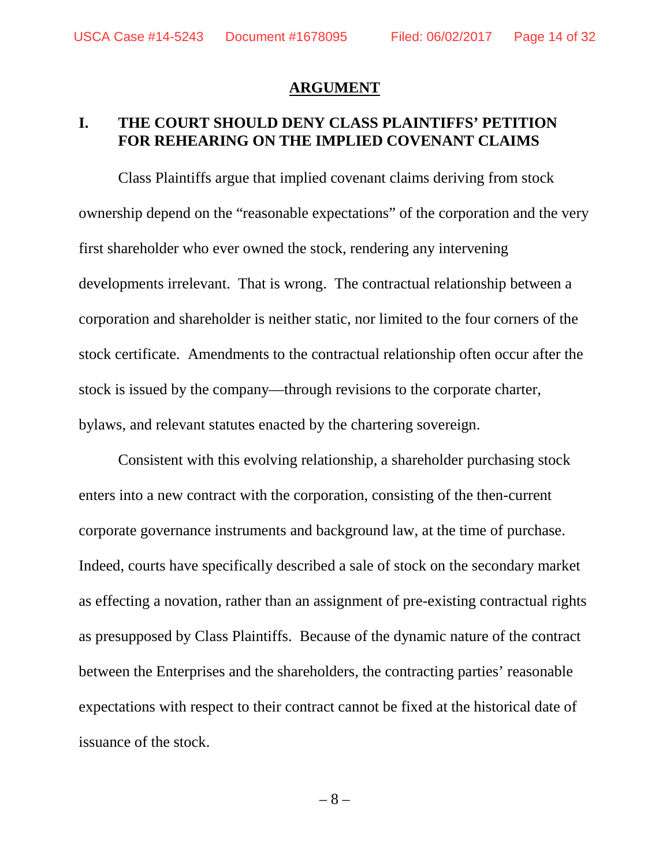#### **ARGUMENT**

# **I. THE COURT SHOULD DENY CLASS PLAINTIFFS' PETITION FOR REHEARING ON THE IMPLIED COVENANT CLAIMS**

Class Plaintiffs argue that implied covenant claims deriving from stock ownership depend on the "reasonable expectations" of the corporation and the very first shareholder who ever owned the stock, rendering any intervening developments irrelevant. That is wrong. The contractual relationship between a corporation and shareholder is neither static, nor limited to the four corners of the stock certificate. Amendments to the contractual relationship often occur after the stock is issued by the company—through revisions to the corporate charter, bylaws, and relevant statutes enacted by the chartering sovereign.

Consistent with this evolving relationship, a shareholder purchasing stock enters into a new contract with the corporation, consisting of the then-current corporate governance instruments and background law, at the time of purchase. Indeed, courts have specifically described a sale of stock on the secondary market as effecting a novation, rather than an assignment of pre-existing contractual rights as presupposed by Class Plaintiffs. Because of the dynamic nature of the contract between the Enterprises and the shareholders, the contracting parties' reasonable expectations with respect to their contract cannot be fixed at the historical date of issuance of the stock.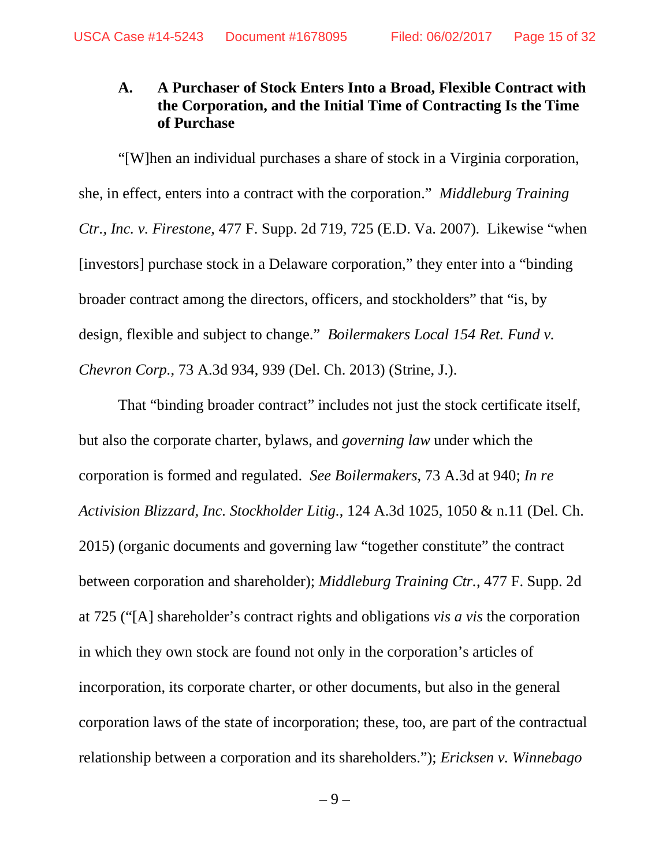## **A. A Purchaser of Stock Enters Into a Broad, Flexible Contract with the Corporation, and the Initial Time of Contracting Is the Time of Purchase**

"[W]hen an individual purchases a share of stock in a Virginia corporation, she, in effect, enters into a contract with the corporation." *Middleburg Training Ctr., Inc. v. Firestone*, 477 F. Supp. 2d 719, 725 (E.D. Va. 2007). Likewise "when [investors] purchase stock in a Delaware corporation," they enter into a "binding broader contract among the directors, officers, and stockholders" that "is, by design, flexible and subject to change." *Boilermakers Local 154 Ret. Fund v. Chevron Corp.*, 73 A.3d 934, 939 (Del. Ch. 2013) (Strine, J.).

That "binding broader contract" includes not just the stock certificate itself, but also the corporate charter, bylaws, and *governing law* under which the corporation is formed and regulated. *See Boilermakers*, 73 A.3d at 940; *In re Activision Blizzard, Inc. Stockholder Litig.*, 124 A.3d 1025, 1050 & n.11 (Del. Ch. 2015) (organic documents and governing law "together constitute" the contract between corporation and shareholder); *Middleburg Training Ctr.*, 477 F. Supp. 2d at 725 ("[A] shareholder's contract rights and obligations *vis a vis* the corporation in which they own stock are found not only in the corporation's articles of incorporation, its corporate charter, or other documents, but also in the general corporation laws of the state of incorporation; these, too, are part of the contractual relationship between a corporation and its shareholders."); *Ericksen v. Winnebago*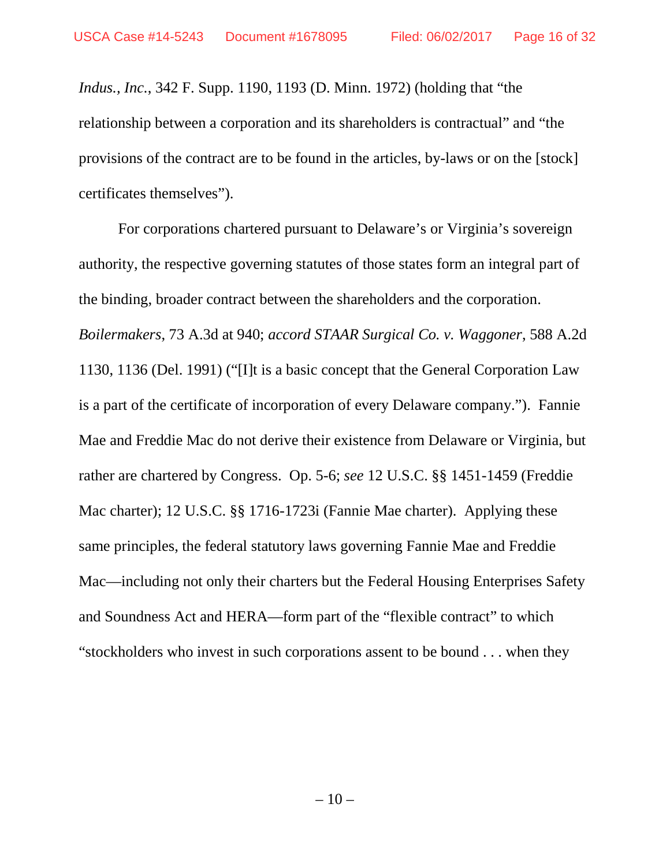*Indus., Inc.*, 342 F. Supp. 1190, 1193 (D. Minn. 1972) (holding that "the relationship between a corporation and its shareholders is contractual" and "the provisions of the contract are to be found in the articles, by-laws or on the [stock] certificates themselves").

For corporations chartered pursuant to Delaware's or Virginia's sovereign authority, the respective governing statutes of those states form an integral part of the binding, broader contract between the shareholders and the corporation. *Boilermakers*, 73 A.3d at 940; *accord STAAR Surgical Co. v. Waggoner*, 588 A.2d 1130, 1136 (Del. 1991) ("[I]t is a basic concept that the General Corporation Law is a part of the certificate of incorporation of every Delaware company."). Fannie Mae and Freddie Mac do not derive their existence from Delaware or Virginia, but rather are chartered by Congress. Op. 5-6; *see* 12 U.S.C. §§ 1451-1459 (Freddie Mac charter); 12 U.S.C. §§ 1716-1723i (Fannie Mae charter). Applying these same principles, the federal statutory laws governing Fannie Mae and Freddie Mac—including not only their charters but the Federal Housing Enterprises Safety and Soundness Act and HERA—form part of the "flexible contract" to which "stockholders who invest in such corporations assent to be bound . . . when they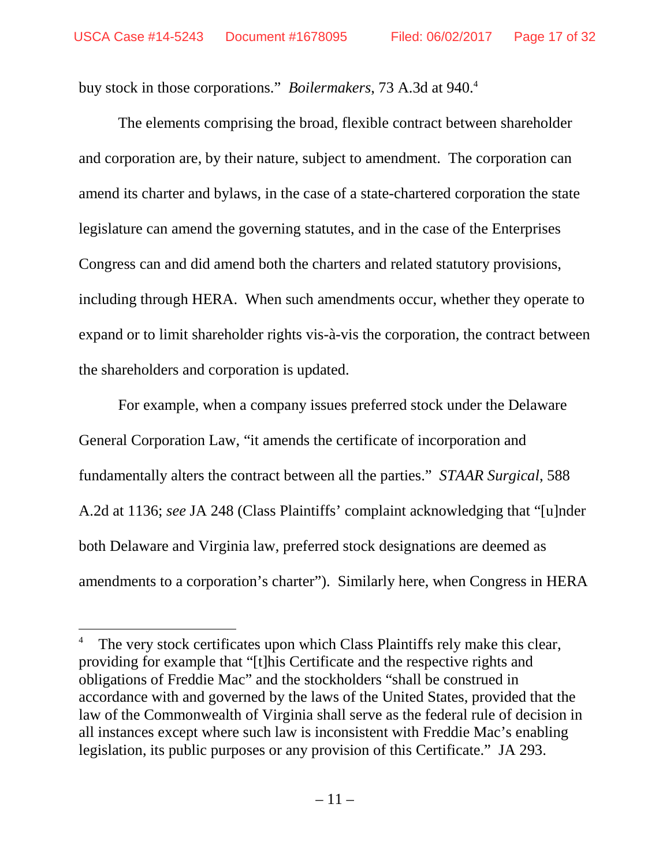buy stock in those corporations." *Boilermakers*, 73 A.3d at 940.<sup>4</sup>

The elements comprising the broad, flexible contract between shareholder and corporation are, by their nature, subject to amendment. The corporation can amend its charter and bylaws, in the case of a state-chartered corporation the state legislature can amend the governing statutes, and in the case of the Enterprises Congress can and did amend both the charters and related statutory provisions, including through HERA. When such amendments occur, whether they operate to expand or to limit shareholder rights vis-à-vis the corporation, the contract between the shareholders and corporation is updated.

For example, when a company issues preferred stock under the Delaware General Corporation Law, "it amends the certificate of incorporation and fundamentally alters the contract between all the parties." *STAAR Surgical*, 588 A.2d at 1136; *see* JA 248 (Class Plaintiffs' complaint acknowledging that "[u]nder both Delaware and Virginia law, preferred stock designations are deemed as amendments to a corporation's charter"). Similarly here, when Congress in HERA

The very stock certificates upon which Class Plaintiffs rely make this clear, providing for example that "[t]his Certificate and the respective rights and obligations of Freddie Mac" and the stockholders "shall be construed in accordance with and governed by the laws of the United States, provided that the law of the Commonwealth of Virginia shall serve as the federal rule of decision in all instances except where such law is inconsistent with Freddie Mac's enabling legislation, its public purposes or any provision of this Certificate." JA 293.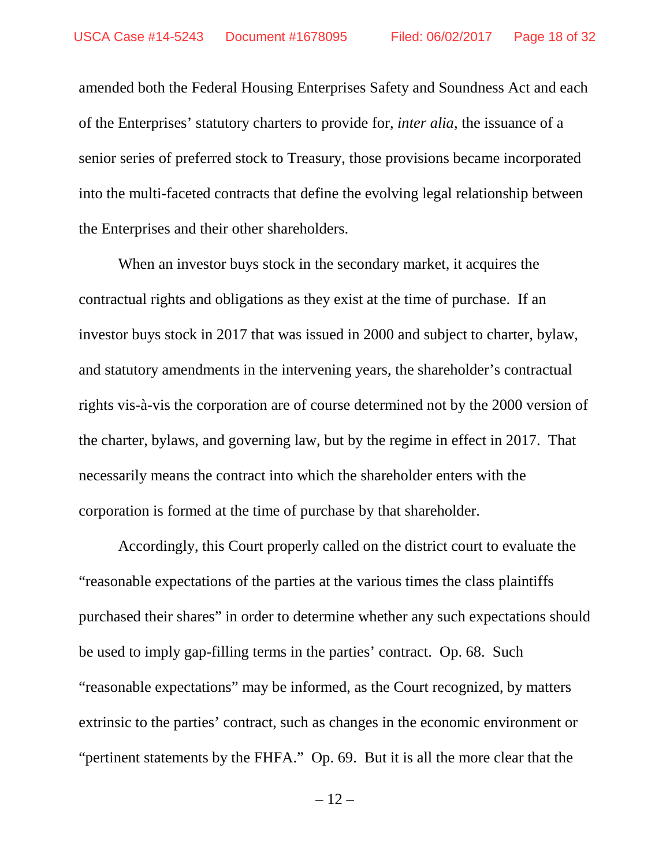amended both the Federal Housing Enterprises Safety and Soundness Act and each of the Enterprises' statutory charters to provide for, *inter alia*, the issuance of a senior series of preferred stock to Treasury, those provisions became incorporated into the multi-faceted contracts that define the evolving legal relationship between the Enterprises and their other shareholders.

When an investor buys stock in the secondary market, it acquires the contractual rights and obligations as they exist at the time of purchase. If an investor buys stock in 2017 that was issued in 2000 and subject to charter, bylaw, and statutory amendments in the intervening years, the shareholder's contractual rights vis-à-vis the corporation are of course determined not by the 2000 version of the charter, bylaws, and governing law, but by the regime in effect in 2017. That necessarily means the contract into which the shareholder enters with the corporation is formed at the time of purchase by that shareholder.

Accordingly, this Court properly called on the district court to evaluate the "reasonable expectations of the parties at the various times the class plaintiffs purchased their shares" in order to determine whether any such expectations should be used to imply gap-filling terms in the parties' contract. Op. 68. Such "reasonable expectations" may be informed, as the Court recognized, by matters extrinsic to the parties' contract, such as changes in the economic environment or "pertinent statements by the FHFA." Op. 69. But it is all the more clear that the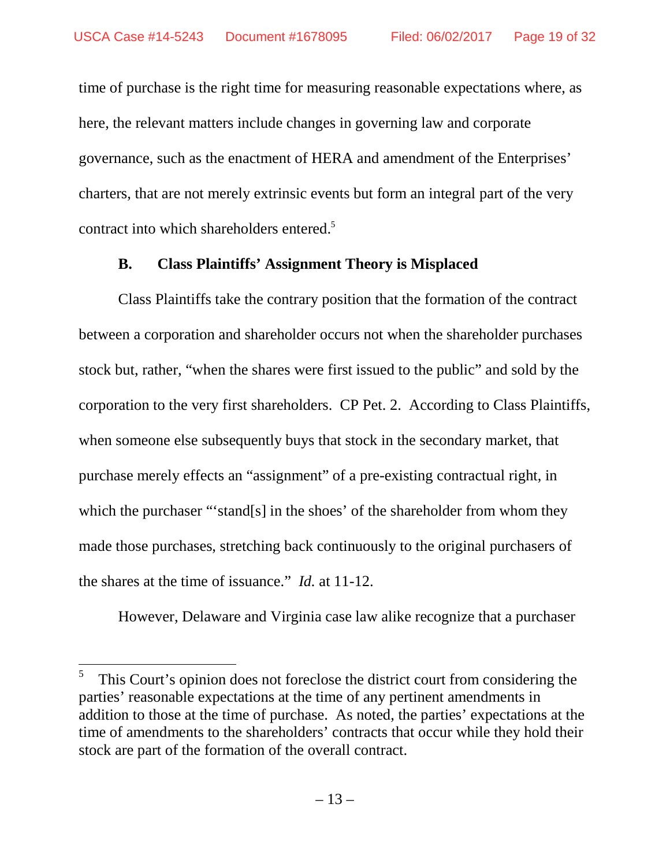time of purchase is the right time for measuring reasonable expectations where, as here, the relevant matters include changes in governing law and corporate governance, such as the enactment of HERA and amendment of the Enterprises' charters, that are not merely extrinsic events but form an integral part of the very contract into which shareholders entered.<sup>5</sup>

#### **B. Class Plaintiffs' Assignment Theory is Misplaced**

Class Plaintiffs take the contrary position that the formation of the contract between a corporation and shareholder occurs not when the shareholder purchases stock but, rather, "when the shares were first issued to the public" and sold by the corporation to the very first shareholders. CP Pet. 2. According to Class Plaintiffs, when someone else subsequently buys that stock in the secondary market, that purchase merely effects an "assignment" of a pre-existing contractual right, in which the purchaser "'stand[s] in the shoes' of the shareholder from whom they made those purchases, stretching back continuously to the original purchasers of the shares at the time of issuance." *Id.* at 11-12.

However, Delaware and Virginia case law alike recognize that a purchaser

<sup>5</sup> This Court's opinion does not foreclose the district court from considering the parties' reasonable expectations at the time of any pertinent amendments in addition to those at the time of purchase. As noted, the parties' expectations at the time of amendments to the shareholders' contracts that occur while they hold their stock are part of the formation of the overall contract.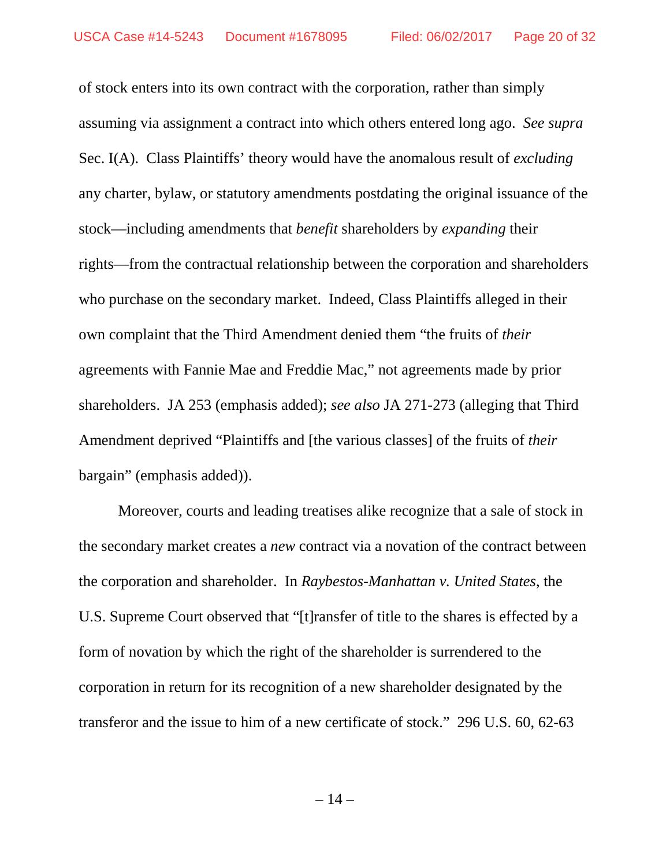of stock enters into its own contract with the corporation, rather than simply assuming via assignment a contract into which others entered long ago. *See supra* Sec. I(A). Class Plaintiffs' theory would have the anomalous result of *excluding* any charter, bylaw, or statutory amendments postdating the original issuance of the stock—including amendments that *benefit* shareholders by *expanding* their rights—from the contractual relationship between the corporation and shareholders who purchase on the secondary market. Indeed, Class Plaintiffs alleged in their own complaint that the Third Amendment denied them "the fruits of *their* agreements with Fannie Mae and Freddie Mac," not agreements made by prior shareholders. JA 253 (emphasis added); *see also* JA 271-273 (alleging that Third Amendment deprived "Plaintiffs and [the various classes] of the fruits of *their* bargain" (emphasis added)).

Moreover, courts and leading treatises alike recognize that a sale of stock in the secondary market creates a *new* contract via a novation of the contract between the corporation and shareholder. In *Raybestos-Manhattan v. United States*, the U.S. Supreme Court observed that "[t]ransfer of title to the shares is effected by a form of novation by which the right of the shareholder is surrendered to the corporation in return for its recognition of a new shareholder designated by the transferor and the issue to him of a new certificate of stock." 296 U.S. 60, 62-63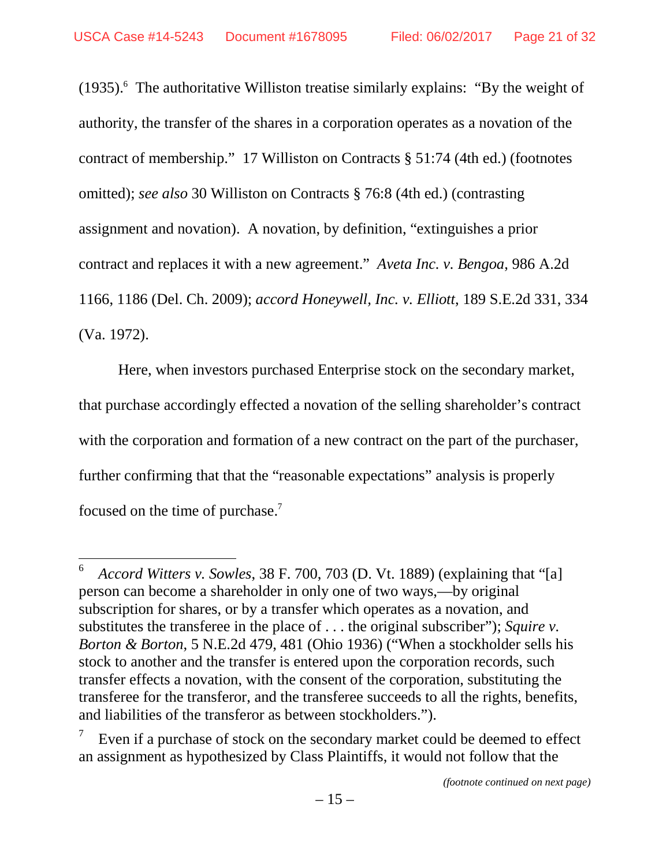$(1935)$ .<sup>6</sup> The authoritative Williston treatise similarly explains: "By the weight of authority, the transfer of the shares in a corporation operates as a novation of the contract of membership." 17 Williston on Contracts § 51:74 (4th ed.) (footnotes omitted); *see also* 30 Williston on Contracts § 76:8 (4th ed.) (contrasting assignment and novation). A novation, by definition, "extinguishes a prior contract and replaces it with a new agreement." *Aveta Inc. v. Bengoa*, 986 A.2d 1166, 1186 (Del. Ch. 2009); *accord Honeywell, Inc. v. Elliott*, 189 S.E.2d 331, 334 (Va. 1972).

Here, when investors purchased Enterprise stock on the secondary market, that purchase accordingly effected a novation of the selling shareholder's contract with the corporation and formation of a new contract on the part of the purchaser, further confirming that that the "reasonable expectations" analysis is properly focused on the time of purchase.<sup>7</sup>

<sup>6</sup> *Accord Witters v. Sowles*, 38 F. 700, 703 (D. Vt. 1889) (explaining that "[a] person can become a shareholder in only one of two ways,—by original subscription for shares, or by a transfer which operates as a novation, and substitutes the transferee in the place of . . . the original subscriber"); *Squire v. Borton & Borton*, 5 N.E.2d 479, 481 (Ohio 1936) ("When a stockholder sells his stock to another and the transfer is entered upon the corporation records, such transfer effects a novation, with the consent of the corporation, substituting the transferee for the transferor, and the transferee succeeds to all the rights, benefits, and liabilities of the transferor as between stockholders.").

<sup>7</sup> Even if a purchase of stock on the secondary market could be deemed to effect an assignment as hypothesized by Class Plaintiffs, it would not follow that the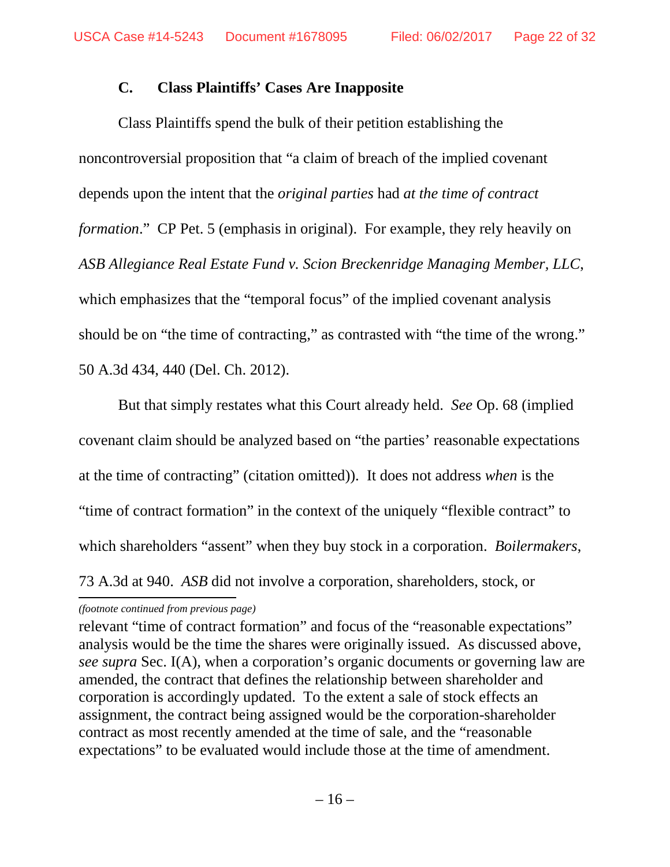#### **C. Class Plaintiffs' Cases Are Inapposite**

Class Plaintiffs spend the bulk of their petition establishing the noncontroversial proposition that "a claim of breach of the implied covenant depends upon the intent that the *original parties* had *at the time of contract formation*." CP Pet. 5 (emphasis in original). For example, they rely heavily on *ASB Allegiance Real Estate Fund v. Scion Breckenridge Managing Member, LLC*, which emphasizes that the "temporal focus" of the implied covenant analysis should be on "the time of contracting," as contrasted with "the time of the wrong." 50 A.3d 434, 440 (Del. Ch. 2012).

But that simply restates what this Court already held. *See* Op. 68 (implied covenant claim should be analyzed based on "the parties' reasonable expectations at the time of contracting" (citation omitted)). It does not address *when* is the "time of contract formation" in the context of the uniquely "flexible contract" to which shareholders "assent" when they buy stock in a corporation. *Boilermakers*, 73 A.3d at 940. *ASB* did not involve a corporation, shareholders, stock, or

#### *(footnote continued from previous page)*

relevant "time of contract formation" and focus of the "reasonable expectations" analysis would be the time the shares were originally issued. As discussed above, *see supra* Sec. I(A), when a corporation's organic documents or governing law are amended, the contract that defines the relationship between shareholder and corporation is accordingly updated. To the extent a sale of stock effects an assignment, the contract being assigned would be the corporation-shareholder contract as most recently amended at the time of sale, and the "reasonable expectations" to be evaluated would include those at the time of amendment.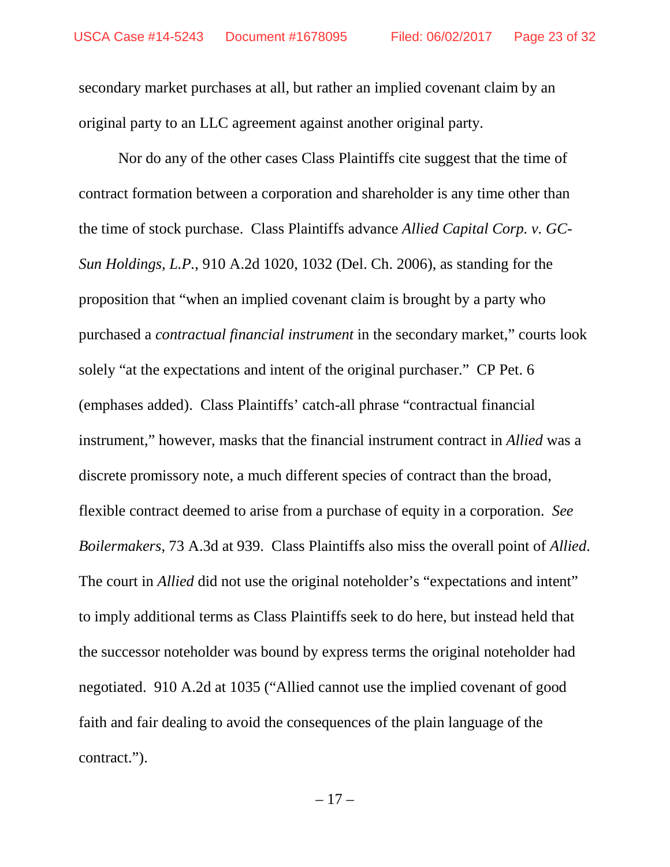secondary market purchases at all, but rather an implied covenant claim by an original party to an LLC agreement against another original party.

Nor do any of the other cases Class Plaintiffs cite suggest that the time of contract formation between a corporation and shareholder is any time other than the time of stock purchase. Class Plaintiffs advance *Allied Capital Corp. v. GC-Sun Holdings, L.P.*, 910 A.2d 1020, 1032 (Del. Ch. 2006), as standing for the proposition that "when an implied covenant claim is brought by a party who purchased a *contractual financial instrument* in the secondary market," courts look solely "at the expectations and intent of the original purchaser." CP Pet. 6 (emphases added). Class Plaintiffs' catch-all phrase "contractual financial instrument," however, masks that the financial instrument contract in *Allied* was a discrete promissory note, a much different species of contract than the broad, flexible contract deemed to arise from a purchase of equity in a corporation. *See Boilermakers*, 73 A.3d at 939. Class Plaintiffs also miss the overall point of *Allied*. The court in *Allied* did not use the original noteholder's "expectations and intent" to imply additional terms as Class Plaintiffs seek to do here, but instead held that the successor noteholder was bound by express terms the original noteholder had negotiated. 910 A.2d at 1035 ("Allied cannot use the implied covenant of good faith and fair dealing to avoid the consequences of the plain language of the contract.").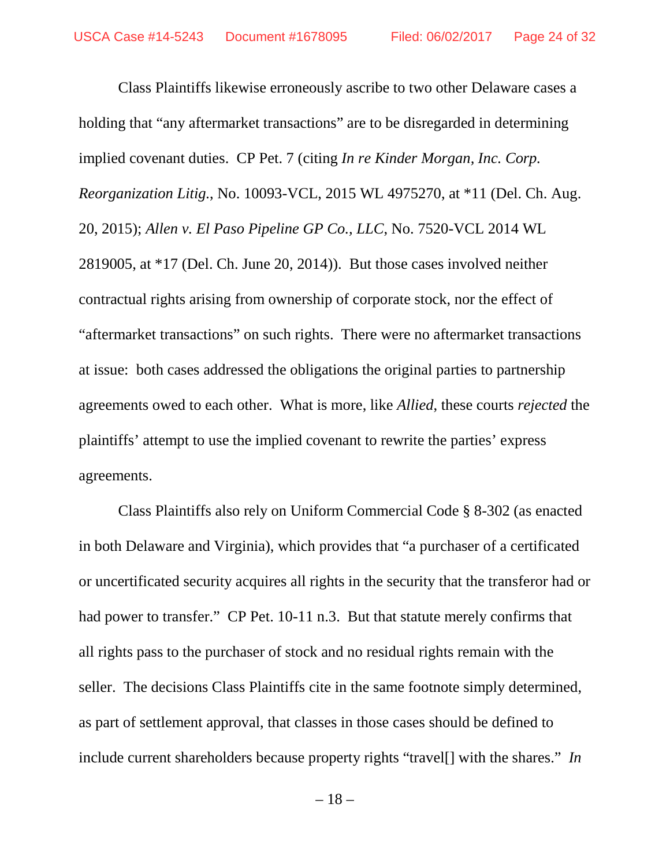Class Plaintiffs likewise erroneously ascribe to two other Delaware cases a holding that "any aftermarket transactions" are to be disregarded in determining implied covenant duties. CP Pet. 7 (citing *In re Kinder Morgan, Inc. Corp. Reorganization Litig.*, No. 10093-VCL, 2015 WL 4975270, at \*11 (Del. Ch. Aug. 20, 2015); *Allen v. El Paso Pipeline GP Co., LLC*, No. 7520-VCL 2014 WL 2819005, at \*17 (Del. Ch. June 20, 2014)). But those cases involved neither contractual rights arising from ownership of corporate stock, nor the effect of "aftermarket transactions" on such rights. There were no aftermarket transactions at issue: both cases addressed the obligations the original parties to partnership agreements owed to each other. What is more, like *Allied*, these courts *rejected* the plaintiffs' attempt to use the implied covenant to rewrite the parties' express agreements.

Class Plaintiffs also rely on Uniform Commercial Code § 8-302 (as enacted in both Delaware and Virginia), which provides that "a purchaser of a certificated or uncertificated security acquires all rights in the security that the transferor had or had power to transfer." CP Pet. 10-11 n.3. But that statute merely confirms that all rights pass to the purchaser of stock and no residual rights remain with the seller. The decisions Class Plaintiffs cite in the same footnote simply determined, as part of settlement approval, that classes in those cases should be defined to include current shareholders because property rights "travel[] with the shares." *In*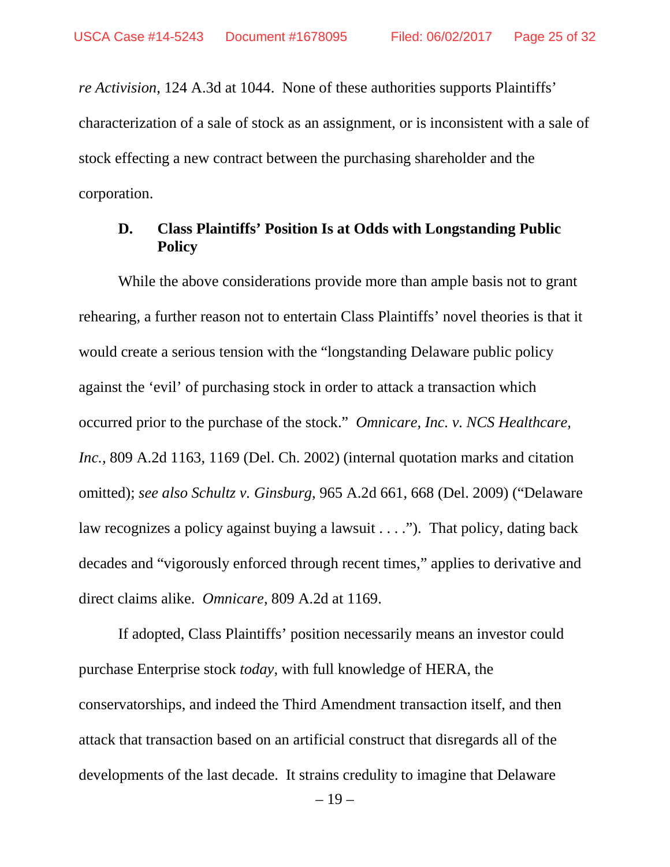*re Activision*, 124 A.3d at 1044. None of these authorities supports Plaintiffs' characterization of a sale of stock as an assignment, or is inconsistent with a sale of stock effecting a new contract between the purchasing shareholder and the corporation.

### **D. Class Plaintiffs' Position Is at Odds with Longstanding Public Policy**

While the above considerations provide more than ample basis not to grant rehearing, a further reason not to entertain Class Plaintiffs' novel theories is that it would create a serious tension with the "longstanding Delaware public policy against the 'evil' of purchasing stock in order to attack a transaction which occurred prior to the purchase of the stock." *Omnicare, Inc. v. NCS Healthcare, Inc.*, 809 A.2d 1163, 1169 (Del. Ch. 2002) (internal quotation marks and citation omitted); *see also Schultz v. Ginsburg*, 965 A.2d 661, 668 (Del. 2009) ("Delaware law recognizes a policy against buying a lawsuit . . . ."). That policy, dating back decades and "vigorously enforced through recent times," applies to derivative and direct claims alike. *Omnicare*, 809 A.2d at 1169.

If adopted, Class Plaintiffs' position necessarily means an investor could purchase Enterprise stock *today*, with full knowledge of HERA, the conservatorships, and indeed the Third Amendment transaction itself, and then attack that transaction based on an artificial construct that disregards all of the developments of the last decade. It strains credulity to imagine that Delaware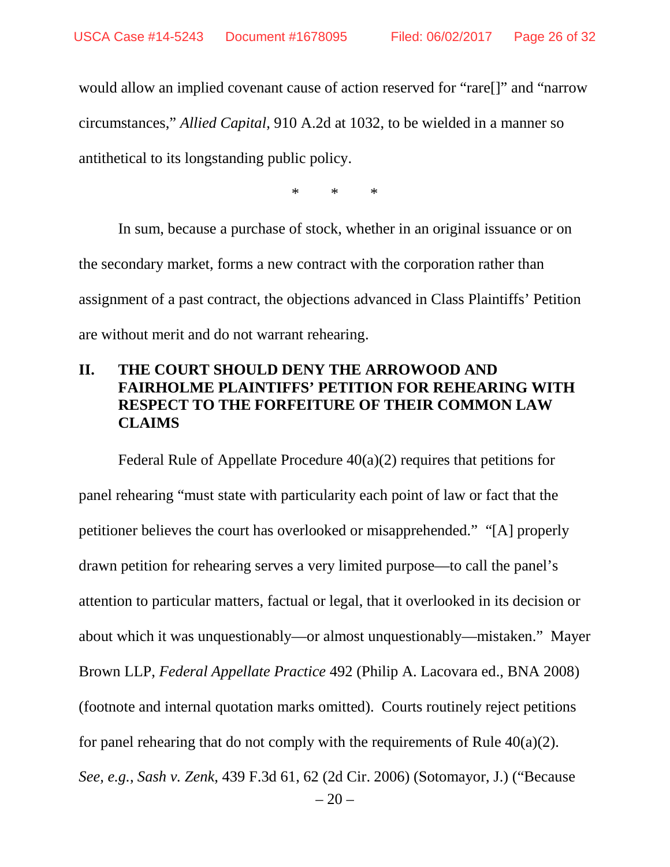would allow an implied covenant cause of action reserved for "rare[]" and "narrow circumstances," *Allied Capital*, 910 A.2d at 1032, to be wielded in a manner so antithetical to its longstanding public policy.

\* \* \*

In sum, because a purchase of stock, whether in an original issuance or on the secondary market, forms a new contract with the corporation rather than assignment of a past contract, the objections advanced in Class Plaintiffs' Petition are without merit and do not warrant rehearing.

# **II. THE COURT SHOULD DENY THE ARROWOOD AND FAIRHOLME PLAINTIFFS' PETITION FOR REHEARING WITH RESPECT TO THE FORFEITURE OF THEIR COMMON LAW CLAIMS**

 $-20-$ Federal Rule of Appellate Procedure  $40(a)(2)$  requires that petitions for panel rehearing "must state with particularity each point of law or fact that the petitioner believes the court has overlooked or misapprehended." "[A] properly drawn petition for rehearing serves a very limited purpose—to call the panel's attention to particular matters, factual or legal, that it overlooked in its decision or about which it was unquestionably—or almost unquestionably—mistaken." Mayer Brown LLP, *Federal Appellate Practice* 492 (Philip A. Lacovara ed., BNA 2008) (footnote and internal quotation marks omitted). Courts routinely reject petitions for panel rehearing that do not comply with the requirements of Rule  $40(a)(2)$ . *See, e.g.*, *Sash v. Zenk*, 439 F.3d 61, 62 (2d Cir. 2006) (Sotomayor, J.) ("Because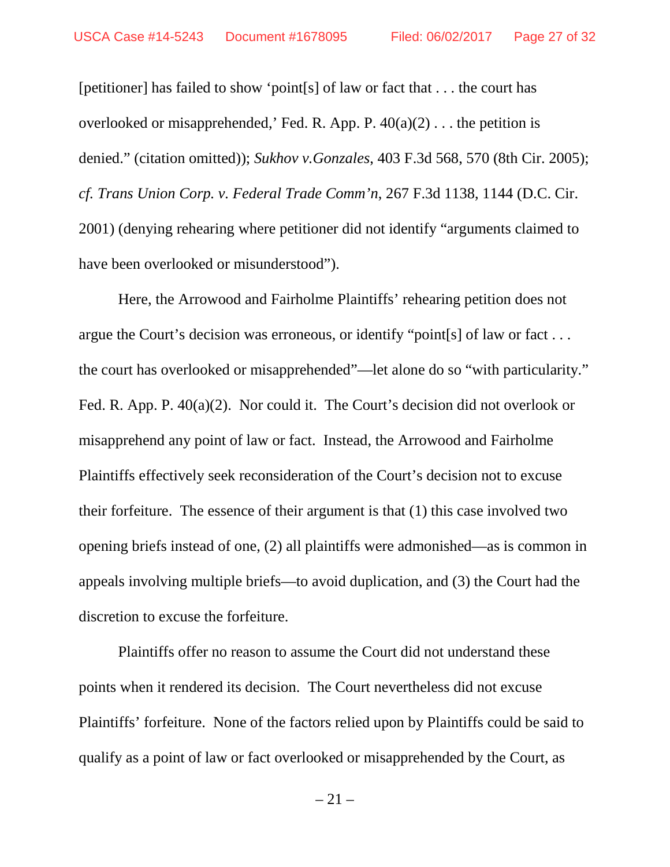[petitioner] has failed to show 'point[s] of law or fact that . . . the court has overlooked or misapprehended,' Fed. R. App. P.  $40(a)(2)$ ... the petition is denied." (citation omitted)); *Sukhov v.Gonzales*, 403 F.3d 568, 570 (8th Cir. 2005); *cf. Trans Union Corp. v. Federal Trade Comm'n*, 267 F.3d 1138, 1144 (D.C. Cir. 2001) (denying rehearing where petitioner did not identify "arguments claimed to have been overlooked or misunderstood").

Here, the Arrowood and Fairholme Plaintiffs' rehearing petition does not argue the Court's decision was erroneous, or identify "point[s] of law or fact . . . the court has overlooked or misapprehended"—let alone do so "with particularity." Fed. R. App. P. 40(a)(2). Nor could it. The Court's decision did not overlook or misapprehend any point of law or fact. Instead, the Arrowood and Fairholme Plaintiffs effectively seek reconsideration of the Court's decision not to excuse their forfeiture. The essence of their argument is that (1) this case involved two opening briefs instead of one, (2) all plaintiffs were admonished—as is common in appeals involving multiple briefs—to avoid duplication, and (3) the Court had the discretion to excuse the forfeiture.

Plaintiffs offer no reason to assume the Court did not understand these points when it rendered its decision. The Court nevertheless did not excuse Plaintiffs' forfeiture. None of the factors relied upon by Plaintiffs could be said to qualify as a point of law or fact overlooked or misapprehended by the Court, as

 $-21-$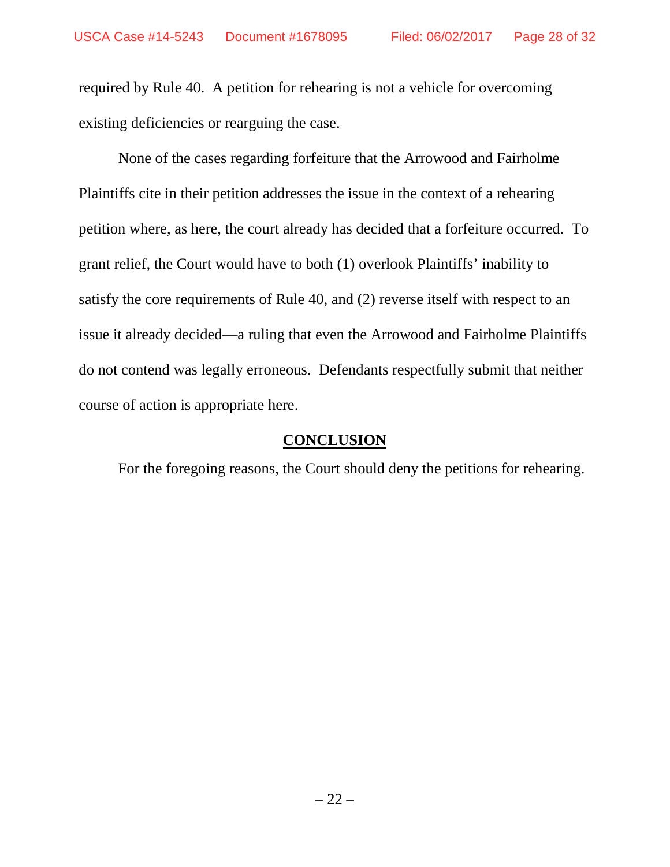required by Rule 40. A petition for rehearing is not a vehicle for overcoming existing deficiencies or rearguing the case.

None of the cases regarding forfeiture that the Arrowood and Fairholme Plaintiffs cite in their petition addresses the issue in the context of a rehearing petition where, as here, the court already has decided that a forfeiture occurred. To grant relief, the Court would have to both (1) overlook Plaintiffs' inability to satisfy the core requirements of Rule 40, and (2) reverse itself with respect to an issue it already decided—a ruling that even the Arrowood and Fairholme Plaintiffs do not contend was legally erroneous. Defendants respectfully submit that neither course of action is appropriate here.

## **CONCLUSION**

For the foregoing reasons, the Court should deny the petitions for rehearing.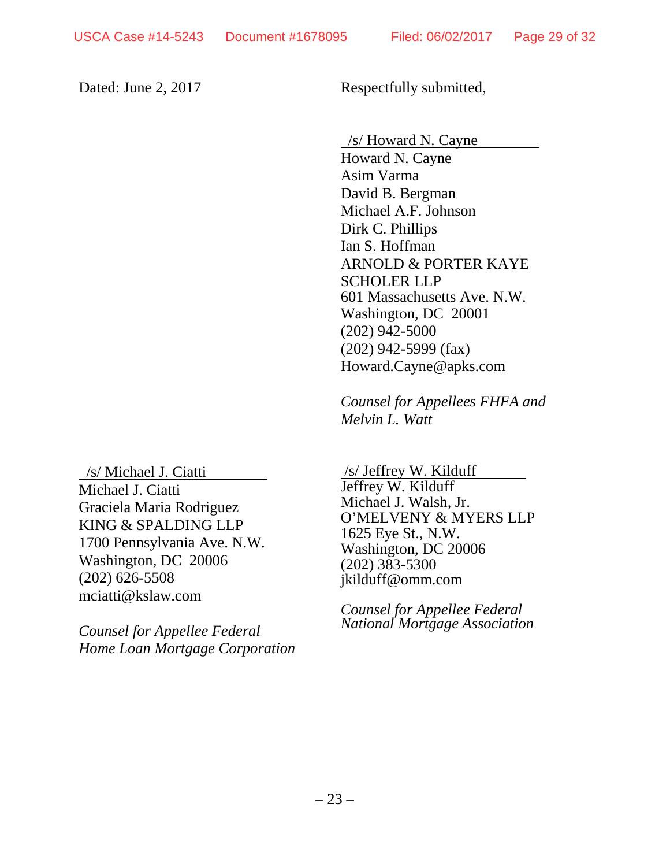Dated: June 2, 2017 Respectfully submitted,

/s/ Howard N. Cayne

Howard N. Cayne Asim Varma David B. Bergman Michael A.F. Johnson Dirk C. Phillips Ian S. Hoffman ARNOLD & PORTER KAYE SCHOLER LLP 601 Massachusetts Ave. N.W. Washington, DC 20001 (202) 942-5000 (202) 942-5999 (fax) Howard.Cayne@apks.com

*Counsel for Appellees FHFA and Melvin L. Watt*

/s/ Michael J. Ciatti Michael J. Ciatti Graciela Maria Rodriguez KING & SPALDING LLP 1700 Pennsylvania Ave. N.W. Washington, DC 20006 (202) 626-5508 mciatti@kslaw.com

*Counsel for Appellee Federal Home Loan Mortgage Corporation*

/s/ Jeffrey W. Kilduff Jeffrey W. Kilduff Michael J. Walsh, Jr. O'MELVENY & MYERS LLP 1625 Eye St., N.W. Washington, DC 20006 (202) 383-5300 jkilduff@omm.com

*Counsel for Appellee Federal National Mortgage Association*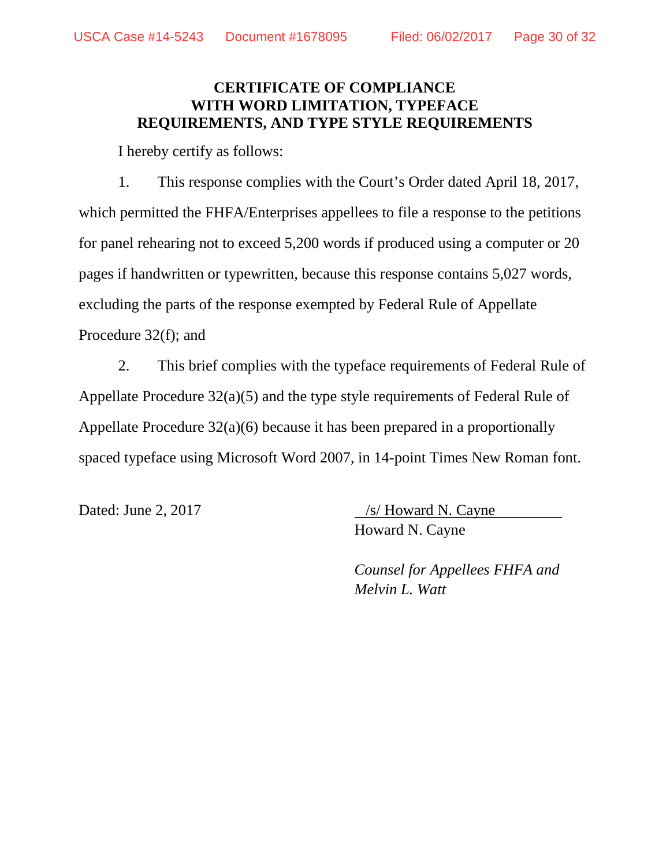## **CERTIFICATE OF COMPLIANCE WITH WORD LIMITATION, TYPEFACE REQUIREMENTS, AND TYPE STYLE REQUIREMENTS**

I hereby certify as follows:

1. This response complies with the Court's Order dated April 18, 2017, which permitted the FHFA/Enterprises appellees to file a response to the petitions for panel rehearing not to exceed 5,200 words if produced using a computer or 20 pages if handwritten or typewritten, because this response contains 5,027 words, excluding the parts of the response exempted by Federal Rule of Appellate Procedure 32(f); and

2. This brief complies with the typeface requirements of Federal Rule of Appellate Procedure 32(a)(5) and the type style requirements of Federal Rule of Appellate Procedure 32(a)(6) because it has been prepared in a proportionally spaced typeface using Microsoft Word 2007, in 14-point Times New Roman font.

Dated: June 2, 2017 /s/ Howard N. Cayne Howard N. Cayne

> *Counsel for Appellees FHFA and Melvin L. Watt*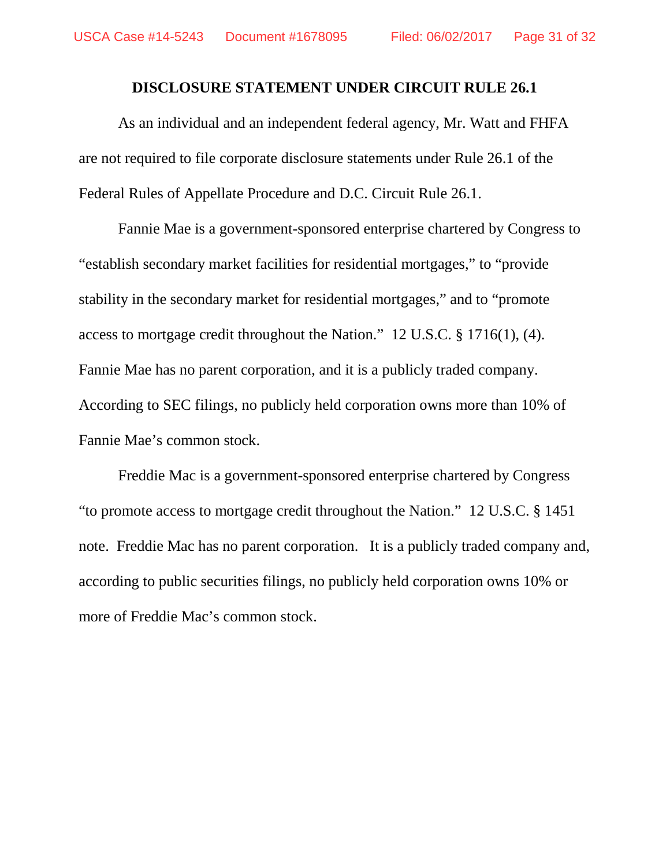#### **DISCLOSURE STATEMENT UNDER CIRCUIT RULE 26.1**

As an individual and an independent federal agency, Mr. Watt and FHFA are not required to file corporate disclosure statements under Rule 26.1 of the Federal Rules of Appellate Procedure and D.C. Circuit Rule 26.1.

Fannie Mae is a government-sponsored enterprise chartered by Congress to "establish secondary market facilities for residential mortgages," to "provide stability in the secondary market for residential mortgages," and to "promote access to mortgage credit throughout the Nation." 12 U.S.C. § 1716(1), (4). Fannie Mae has no parent corporation, and it is a publicly traded company. According to SEC filings, no publicly held corporation owns more than 10% of Fannie Mae's common stock.

Freddie Mac is a government-sponsored enterprise chartered by Congress "to promote access to mortgage credit throughout the Nation." 12 U.S.C. § 1451 note. Freddie Mac has no parent corporation. It is a publicly traded company and, according to public securities filings, no publicly held corporation owns 10% or more of Freddie Mac's common stock.